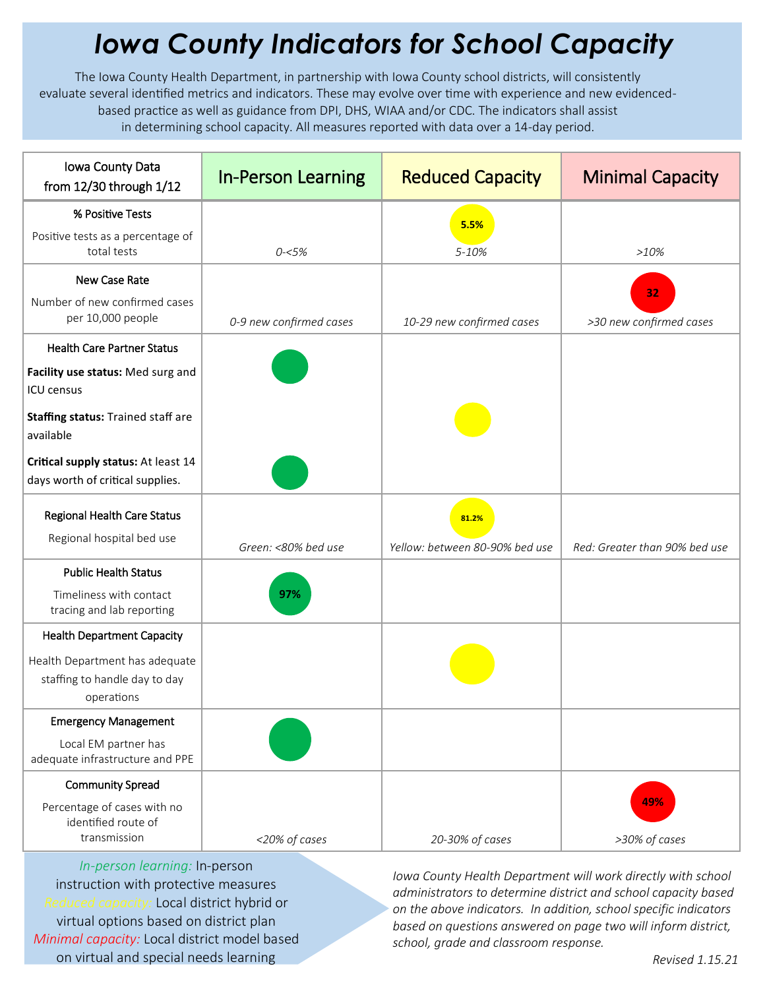## *Iowa County Indicators for School Capacity*

The Iowa County Health Department, in partnership with Iowa County school districts, will consistently evaluate several identified metrics and indicators. These may evolve over time with experience and new evidencedbased practice as well as guidance from DPI, DHS, WIAA and/or CDC. The indicators shall assist in determining school capacity. All measures reported with data over a 14-day period.

| Iowa County Data<br>from 12/30 through 1/12                                   | <b>In-Person Learning</b> | <b>Reduced Capacity</b>        | <b>Minimal Capacity</b>       |
|-------------------------------------------------------------------------------|---------------------------|--------------------------------|-------------------------------|
| % Positive Tests                                                              |                           | 5.5%                           |                               |
| Positive tests as a percentage of<br>total tests                              | $0 - 5%$                  | 5-10%                          | $>10\%$                       |
| New Case Rate                                                                 |                           |                                |                               |
| Number of new confirmed cases<br>per 10,000 people                            | 0-9 new confirmed cases   | 10-29 new confirmed cases      | 32<br>>30 new confirmed cases |
| <b>Health Care Partner Status</b>                                             |                           |                                |                               |
| Facility use status: Med surg and<br><b>ICU</b> census                        |                           |                                |                               |
| Staffing status: Trained staff are<br>available                               |                           |                                |                               |
| Critical supply status: At least 14<br>days worth of critical supplies.       |                           |                                |                               |
| Regional Health Care Status<br>Regional hospital bed use                      |                           | 81.2%                          |                               |
| <b>Public Health Status</b>                                                   | Green: <80% bed use       | Yellow: between 80-90% bed use | Red: Greater than 90% bed use |
| Timeliness with contact<br>tracing and lab reporting                          | 97%                       |                                |                               |
| <b>Health Department Capacity</b>                                             |                           |                                |                               |
| Health Department has adequate<br>staffing to handle day to day<br>operations |                           |                                |                               |
| <b>Emergency Management</b>                                                   |                           |                                |                               |
| Local EM partner has<br>adequate infrastructure and PPE                       |                           |                                |                               |
| <b>Community Spread</b>                                                       |                           |                                |                               |
| Percentage of cases with no<br>identified route of<br>transmission            | <20% of cases             | 20-30% of cases                | 49%<br>>30% of cases          |

*In-person learning:* In-person instruction with protective measures *Reduced capacity:* Local district hybrid or virtual options based on district plan *Minimal capacity:* Local district model based on virtual and special needs learning

*Iowa County Health Department will work directly with school administrators to determine district and school capacity based on the above indicators. In addition, school specific indicators based on questions answered on page two will inform district, school, grade and classroom response.*